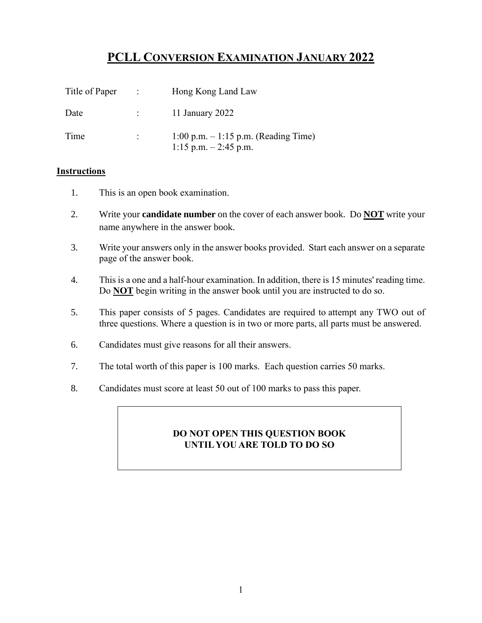# **PCLL CONVERSION EXAMINATION JANUARY 2022**

| Title of Paper | $\sim 100$        | Hong Kong Land Law                                                |
|----------------|-------------------|-------------------------------------------------------------------|
| Date           | <b>CONTRACTOR</b> | 11 January 2022                                                   |
| Time           |                   | $1:00$ p.m. $-1:15$ p.m. (Reading Time)<br>1:15 p.m. $-2:45$ p.m. |

### **Instructions**

- 1. This is an open book examination.
- 2. Write your **candidate number** on the cover of each answer book. Do **NOT** write your name anywhere in the answer book.
- 3. Write your answers only in the answer books provided. Start each answer on a separate page of the answer book.
- 4. This is a one and a half-hour examination. In addition, there is 15 minutes' reading time. Do **NOT** begin writing in the answer book until you are instructed to do so.
- 5. This paper consists of 5 pages. Candidates are required to attempt any TWO out of three questions. Where a question is in two or more parts, all parts must be answered.
- 6. Candidates must give reasons for all their answers.
- 7. The total worth of this paper is 100 marks. Each question carries 50 marks.
- 8. Candidates must score at least 50 out of 100 marks to pass this paper.

### **DO NOT OPEN THIS QUESTION BOOK UNTIL YOU ARE TOLD TO DO SO**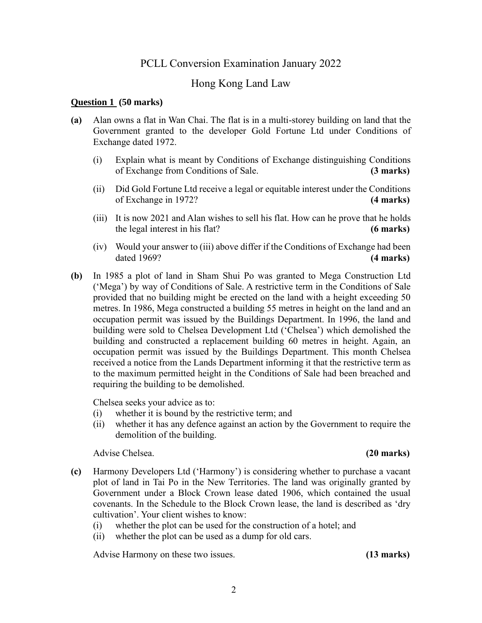## PCLL Conversion Examination January 2022

# Hong Kong Land Law

### **Question 1 (50 marks)**

- **(a)** Alan owns a flat in Wan Chai. The flat is in a multi-storey building on land that the Government granted to the developer Gold Fortune Ltd under Conditions of Exchange dated 1972.
	- (i) Explain what is meant by Conditions of Exchange distinguishing Conditions of Exchange from Conditions of Sale. **(3 marks)**
	- (ii) Did Gold Fortune Ltd receive a legal or equitable interest under the Conditions of Exchange in 1972? **(4 marks)**
	- (iii) It is now 2021 and Alan wishes to sell his flat. How can he prove that he holds the legal interest in his flat? **(6 marks)**
	- (iv) Would your answer to (iii) above differ if the Conditions of Exchange had been dated 1969? **(4 marks)**
- **(b)** In 1985 a plot of land in Sham Shui Po was granted to Mega Construction Ltd ('Mega') by way of Conditions of Sale. A restrictive term in the Conditions of Sale provided that no building might be erected on the land with a height exceeding 50 metres. In 1986, Mega constructed a building 55 metres in height on the land and an occupation permit was issued by the Buildings Department. In 1996, the land and building were sold to Chelsea Development Ltd ('Chelsea') which demolished the building and constructed a replacement building 60 metres in height. Again, an occupation permit was issued by the Buildings Department. This month Chelsea received a notice from the Lands Department informing it that the restrictive term as to the maximum permitted height in the Conditions of Sale had been breached and requiring the building to be demolished.

Chelsea seeks your advice as to:

- (i) whether it is bound by the restrictive term; and
- (ii) whether it has any defence against an action by the Government to require the demolition of the building.

Advise Chelsea. **(20 marks)**

- **(c)** Harmony Developers Ltd ('Harmony') is considering whether to purchase a vacant plot of land in Tai Po in the New Territories. The land was originally granted by Government under a Block Crown lease dated 1906, which contained the usual covenants. In the Schedule to the Block Crown lease, the land is described as 'dry cultivation'. Your client wishes to know:
	- (i) whether the plot can be used for the construction of a hotel; and
	- (ii) whether the plot can be used as a dump for old cars.

Advise Harmony on these two issues. **(13 marks)**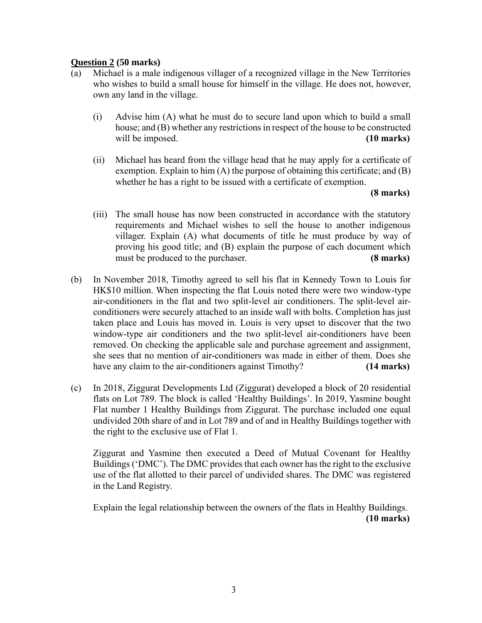### **Question 2 (50 marks)**

- (a) Michael is a male indigenous villager of a recognized village in the New Territories who wishes to build a small house for himself in the village. He does not, however, own any land in the village.
	- (i) Advise him (A) what he must do to secure land upon which to build a small house; and (B) whether any restrictions in respect of the house to be constructed will be imposed. **(10 marks)**
	- (ii) Michael has heard from the village head that he may apply for a certificate of exemption. Explain to him  $(A)$  the purpose of obtaining this certificate; and  $(B)$ whether he has a right to be issued with a certificate of exemption.

### **(8 marks)**

- (iii) The small house has now been constructed in accordance with the statutory requirements and Michael wishes to sell the house to another indigenous villager. Explain (A) what documents of title he must produce by way of proving his good title; and (B) explain the purpose of each document which must be produced to the purchaser. **(8 marks)**
- (b) In November 2018, Timothy agreed to sell his flat in Kennedy Town to Louis for HK\$10 million. When inspecting the flat Louis noted there were two window-type air-conditioners in the flat and two split-level air conditioners. The split-level airconditioners were securely attached to an inside wall with bolts. Completion has just taken place and Louis has moved in. Louis is very upset to discover that the two window-type air conditioners and the two split-level air-conditioners have been removed. On checking the applicable sale and purchase agreement and assignment, she sees that no mention of air-conditioners was made in either of them. Does she have any claim to the air-conditioners against Timothy? **(14 marks)**
- (c) In 2018, Ziggurat Developments Ltd (Ziggurat) developed a block of 20 residential flats on Lot 789. The block is called 'Healthy Buildings'. In 2019, Yasmine bought Flat number 1 Healthy Buildings from Ziggurat. The purchase included one equal undivided 20th share of and in Lot 789 and of and in Healthy Buildings together with the right to the exclusive use of Flat 1.

Ziggurat and Yasmine then executed a Deed of Mutual Covenant for Healthy Buildings ('DMC'). The DMC provides that each owner has the right to the exclusive use of the flat allotted to their parcel of undivided shares. The DMC was registered in the Land Registry.

Explain the legal relationship between the owners of the flats in Healthy Buildings. **(10 marks)**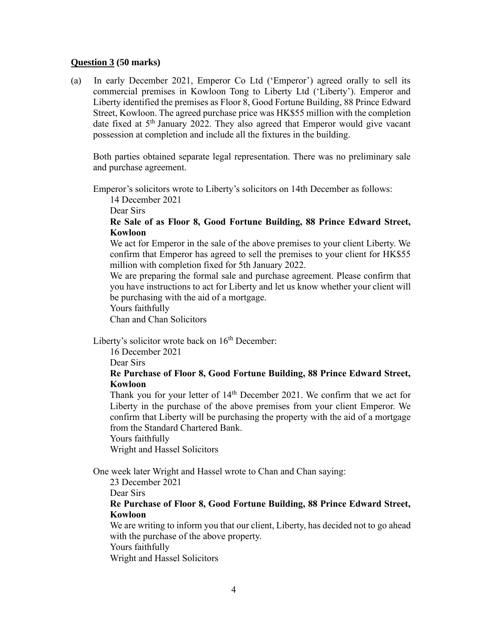### **Question 3 (50 marks)**

(a) In early December 2021, Emperor Co Ltd ('Emperor') agreed orally to sell its commercial premises in Kowloon Tong to Liberty Ltd ('Liberty'). Emperor and Liberty identified the premises as Floor 8, Good Fortune Building, 88 Prince Edward Street, Kowloon. The agreed purchase price was HK\$55 million with the completion date fixed at 5<sup>th</sup> January 2022. They also agreed that Emperor would give vacant possession at completion and include all the fixtures in the building.

Both parties obtained separate legal representation. There was no preliminary sale and purchase agreement.

Emperor's solicitors wrote to Liberty's solicitors on 14th December as follows:

14 December 2021

Dear Sirs

**Re Sale of as Floor 8, Good Fortune Building, 88 Prince Edward Street, Kowloon**

We act for Emperor in the sale of the above premises to your client Liberty. We confirm that Emperor has agreed to sell the premises to your client for HK\$55 million with completion fixed for 5th January 2022.

We are preparing the formal sale and purchase agreement. Please confirm that you have instructions to act for Liberty and let us know whether your client will be purchasing with the aid of a mortgage.

Yours faithfully

Chan and Chan Solicitors

Liberty's solicitor wrote back on  $16<sup>th</sup>$  December:

16 December 2021

Dear Sirs

### **Re Purchase of Floor 8, Good Fortune Building, 88 Prince Edward Street, Kowloon**

Thank you for your letter of  $14<sup>th</sup>$  December 2021. We confirm that we act for Liberty in the purchase of the above premises from your client Emperor. We confirm that Liberty will be purchasing the property with the aid of a mortgage from the Standard Chartered Bank.

Yours faithfully

Wright and Hassel Solicitors

One week later Wright and Hassel wrote to Chan and Chan saying:

23 December 2021

Dear Sirs

**Re Purchase of Floor 8, Good Fortune Building, 88 Prince Edward Street, Kowloon**

We are writing to inform you that our client, Liberty, has decided not to go ahead with the purchase of the above property.

Yours faithfully

Wright and Hassel Solicitors